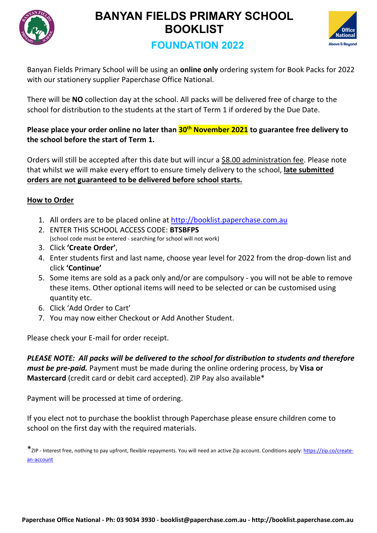



# **FOUNDATION 2022**

Banyan Fields Primary School will be using an **online only** ordering system for Book Packs for 2022 with our stationery supplier Paperchase Office National.

There will be **NO** collection day at the school. All packs will be delivered free of charge to the school for distribution to the students at the start of Term 1 if ordered by the Due Date.

### **Please place your order online no later than 30th November 2021 to guarantee free delivery to the school before the start of Term 1.**

Orders will still be accepted after this date but will incur a \$8.00 administration fee. Please note that whilst we will make every effort to ensure timely delivery to the school, **late submitted orders are not guaranteed to be delivered before school starts.**

## **How to Order**

- 1. All orders are to be placed online at <http://booklist.paperchase.com.au>
- 2. ENTER THIS SCHOOL ACCESS CODE: **BTSBFPS** (school code must be entered - searching for school will not work)
- 3. Click **'Create Order'**,
- 4. Enter students first and last name, choose year level for 2022 from the drop-down list and click **'Continue'**
- 5. Some items are sold as a pack only and/or are compulsory you will not be able to remove these items. Other optional items will need to be selected or can be customised using quantity etc.
- 6. Click 'Add Order to Cart'
- 7. You may now either Checkout or Add Another Student.

Please check your E-mail for order receipt.

*PLEASE NOTE: All packs will be delivered to the school for distribution to students and therefore must be pre-paid.* Payment must be made during the online ordering process, by **Visa or Mastercard** (credit card or debit card accepted). ZIP Pay also available\*

Payment will be processed at time of ordering.

If you elect not to purchase the booklist through Paperchase please ensure children come to school on the first day with the required materials.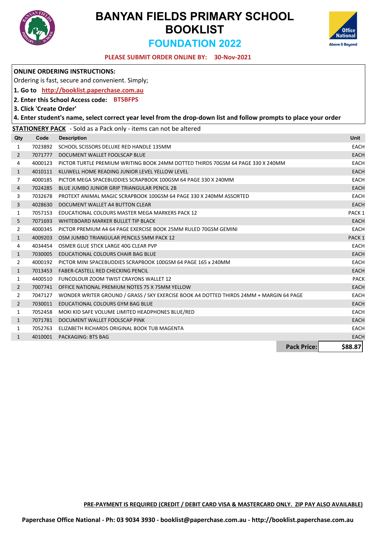

# **BANYAN FIELDS PRIMARY SCHOOL BOOKLIST FOUNDATION 2022**



**Pack Price: \$88.87**

#### **30-Nov-2021 PLEASE SUBMIT ORDER ONLINE BY:**

|                |                         | <b>ONLINE ORDERING INSTRUCTIONS:</b>                                                                              |                   |
|----------------|-------------------------|-------------------------------------------------------------------------------------------------------------------|-------------------|
|                |                         | Ordering is fast, secure and convenient. Simply;                                                                  |                   |
|                |                         | 1. Go to http://booklist.paperchase.com.au                                                                        |                   |
|                |                         | 2. Enter this School Access code: BTSBFPS                                                                         |                   |
|                | 3. Click 'Create Order' |                                                                                                                   |                   |
|                |                         | 4. Enter student's name, select correct year level from the drop-down list and follow prompts to place your order |                   |
|                |                         | <b>STATIONERY PACK</b> - Sold as a Pack only - items can not be altered                                           |                   |
| Qty            | Code                    | <b>Description</b>                                                                                                | Unit              |
| 1              | 7023892                 | SCHOOL SCISSORS DELUXE RED HANDLE 135MM                                                                           | <b>EACH</b>       |
| $\overline{2}$ | 7071777                 | DOCUMENT WALLET FOOLSCAP BLUE                                                                                     | <b>EACH</b>       |
| 4              | 4000123                 | PICTOR TURTLE PREMIUM WRITING BOOK 24MM DOTTED THIRDS 70GSM 64 PAGE 330 X 240MM                                   | EACH              |
| $\mathbf{1}$   | 4010111                 | KLUWELL HOME READING JUNIOR LEVEL YELLOW LEVEL                                                                    | <b>EACH</b>       |
| $\overline{7}$ | 4000185                 | PICTOR MEGA SPACEBUDDIES SCRAPBOOK 100GSM 64 PAGE 330 X 240MM                                                     | <b>EACH</b>       |
| 4              | 7024285                 | BLUE JUMBO JUNIOR GRIP TRIANGULAR PENCIL 2B                                                                       | <b>EACH</b>       |
| 3              | 7032678                 | PROTEXT ANIMAL MAGIC SCRAPBOOK 100GSM 64 PAGE 330 X 240MM ASSORTED                                                | <b>EACH</b>       |
| 3              | 4028630                 | DOCUMENT WALLET A4 BUTTON CLEAR                                                                                   | <b>EACH</b>       |
| 1              | 7057153                 | EDUCATIONAL COLOURS MASTER MEGA MARKERS PACK 12                                                                   | PACK <sub>1</sub> |
| 5              | 7071693                 | WHITEBOARD MARKER BULLET TIP BLACK                                                                                | <b>EACH</b>       |
| 2              | 4000345                 | PICTOR PREMIUM A4 64 PAGE EXERCISE BOOK 25MM RULED 70GSM GEMINI                                                   | <b>EACH</b>       |
| $\mathbf{1}$   | 4009203                 | OSM JUMBO TRIANGULAR PENCILS 5MM PACK 12                                                                          | PACK <sub>1</sub> |
| 4              | 4034454                 | OSMER GLUE STICK LARGE 40G CLEAR PVP                                                                              | <b>EACH</b>       |
| $\mathbf{1}$   | 7030005                 | EDUCATIONAL COLOURS CHAIR BAG BLUE                                                                                | EACH              |
| 2              | 4000192                 | PICTOR MINI SPACEBUDDIES SCRAPBOOK 100GSM 64 PAGE 165 x 240MM                                                     | <b>EACH</b>       |
| $\mathbf{1}$   | 7013453                 | <b>FABER-CASTELL RED CHECKING PENCIL</b>                                                                          | <b>EACH</b>       |
| 1              | 4400510                 | <b>FUNCOLOUR ZOOM TWIST CRAYONS WALLET 12</b>                                                                     | <b>PACK</b>       |
| $\overline{2}$ | 7007741                 | OFFICE NATIONAL PREMIUM NOTES 75 X 75MM YELLOW                                                                    | EACH              |
| 2              |                         | 7047127 WONDER WRITER GROUND / GRASS / SKY EXERCISE BOOK A4 DOTTED THIRDS 24MM + MARGIN 64 PAGE                   | EACH              |
| $\overline{2}$ | 7030011                 | EDUCATIONAL COLOURS GYM BAG BLUE                                                                                  | <b>EACH</b>       |
| 1              | 7052458                 | MOKI KID SAFE VOLUME LIMITED HEADPHONES BLUE/RED                                                                  | <b>EACH</b>       |
| $\mathbf{1}$   | 7071781                 | DOCUMENT WALLET FOOLSCAP PINK                                                                                     | <b>EACH</b>       |
| 1              | 7052763                 | ELIZABETH RICHARDS ORIGINAL BOOK TUB MAGENTA                                                                      | <b>EACH</b>       |
| $\mathbf{1}$   |                         | 4010001 PACKAGING: BTS BAG                                                                                        | <b>EACH</b>       |

**PRE-PAYMENT IS REQUIRED (CREDIT / DEBIT CARD VISA & MASTERCARD ONLY. ZIP PAY ALSO AVAILABLE)**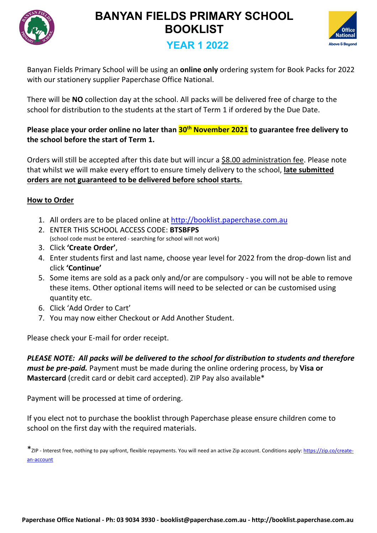



## **YEAR 1 2022**

Banyan Fields Primary School will be using an **online only** ordering system for Book Packs for 2022 with our stationery supplier Paperchase Office National.

There will be **NO** collection day at the school. All packs will be delivered free of charge to the school for distribution to the students at the start of Term 1 if ordered by the Due Date.

### **Please place your order online no later than 30th November 2021 to guarantee free delivery to the school before the start of Term 1.**

Orders will still be accepted after this date but will incur a \$8.00 administration fee. Please note that whilst we will make every effort to ensure timely delivery to the school, **late submitted orders are not guaranteed to be delivered before school starts.**

## **How to Order**

- 1. All orders are to be placed online at <http://booklist.paperchase.com.au>
- 2. ENTER THIS SCHOOL ACCESS CODE: **BTSBFPS** (school code must be entered - searching for school will not work)
- 3. Click **'Create Order'**,
- 4. Enter students first and last name, choose year level for 2022 from the drop-down list and click **'Continue'**
- 5. Some items are sold as a pack only and/or are compulsory you will not be able to remove these items. Other optional items will need to be selected or can be customised using quantity etc.
- 6. Click 'Add Order to Cart'
- 7. You may now either Checkout or Add Another Student.

Please check your E-mail for order receipt.

*PLEASE NOTE: All packs will be delivered to the school for distribution to students and therefore must be pre-paid.* Payment must be made during the online ordering process, by **Visa or Mastercard** (credit card or debit card accepted). ZIP Pay also available\*

Payment will be processed at time of ordering.

If you elect not to purchase the booklist through Paperchase please ensure children come to school on the first day with the required materials.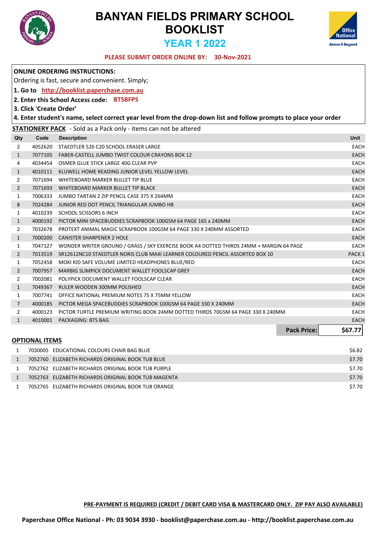



### **30-Nov-2021 PLEASE SUBMIT ORDER ONLINE BY:**

|                |                         | <b>ONLINE ORDERING INSTRUCTIONS:</b>                                                                              |                    |                   |
|----------------|-------------------------|-------------------------------------------------------------------------------------------------------------------|--------------------|-------------------|
|                |                         | Ordering is fast, secure and convenient. Simply;                                                                  |                    |                   |
|                |                         | 1. Go to http://booklist.paperchase.com.au                                                                        |                    |                   |
|                |                         | 2. Enter this School Access code: BTSBFPS                                                                         |                    |                   |
|                | 3. Click 'Create Order' |                                                                                                                   |                    |                   |
|                |                         | 4. Enter student's name, select correct year level from the drop-down list and follow prompts to place your order |                    |                   |
|                |                         | <b>STATIONERY PACK</b> - Sold as a Pack only - items can not be altered                                           |                    |                   |
| Qty            | Code                    | <b>Description</b>                                                                                                |                    | Unit              |
| $\overline{2}$ | 4052620                 | STAEDTLER 526 C20 SCHOOL ERASER LARGE                                                                             |                    | <b>EACH</b>       |
| $\mathbf{1}$   | 7077105                 | FABER-CASTELL JUMBO TWIST COLOUR CRAYONS BOX 12                                                                   |                    | <b>EACH</b>       |
| 4              | 4034454                 | OSMER GLUE STICK LARGE 40G CLEAR PVP                                                                              |                    | <b>EACH</b>       |
| $\mathbf{1}$   | 4010111                 | KLUWELL HOME READING JUNIOR LEVEL YELLOW LEVEL                                                                    |                    | <b>EACH</b>       |
| 2              | 7071694                 | WHITEBOARD MARKER BULLET TIP BLUE                                                                                 |                    | <b>EACH</b>       |
| $\overline{2}$ | 7071693                 | WHITEBOARD MARKER BULLET TIP BLACK                                                                                |                    | <b>EACH</b>       |
| $\mathbf{1}$   | 7006333                 | JUMBO TARTAN 2 ZIP PENCIL CASE 375 X 264MM                                                                        |                    | <b>EACH</b>       |
| 8              | 7024284                 | JUNIOR RED DOT PENCIL TRIANGULAR JUMBO HB                                                                         |                    | <b>EACH</b>       |
| $\mathbf{1}$   | 4010239                 | SCHOOL SCISSORS 6 INCH                                                                                            |                    | <b>EACH</b>       |
| $\mathbf{1}$   | 4000192                 | PICTOR MINI SPACEBUDDIES SCRAPBOOK 100GSM 64 PAGE 165 x 240MM                                                     |                    | <b>EACH</b>       |
| $\overline{2}$ | 7032678                 | PROTEXT ANIMAL MAGIC SCRAPBOOK 100GSM 64 PAGE 330 X 240MM ASSORTED                                                |                    | <b>EACH</b>       |
| $\mathbf{1}$   | 7000200                 | <b>CANISTER SHARPENER 2 HOLE</b>                                                                                  |                    | <b>EACH</b>       |
| 1              | 7047127                 | WONDER WRITER GROUND / GRASS / SKY EXERCISE BOOK A4 DOTTED THIRDS 24MM + MARGIN 64 PAGE                           |                    | <b>EACH</b>       |
| $\overline{2}$ | 7013519                 | SR12612NC10 STAEDTLER NORIS CLUB MAXI LEARNER COLOURED PENCIL ASSORTED BOX 10                                     |                    | PACK <sub>1</sub> |
| $\mathbf{1}$   | 7052458                 | MOKI KID SAFE VOLUME LIMITED HEADPHONES BLUE/RED                                                                  |                    | <b>EACH</b>       |
| $\overline{2}$ | 7007957                 | MARBIG SLIMPICK DOCUMENT WALLET FOOLSCAP GREY                                                                     |                    | <b>EACH</b>       |
| $\overline{2}$ | 7002081                 | POLYPICK DOCUMENT WALLET FOOLSCAP CLEAR                                                                           |                    | <b>EACH</b>       |
| $\mathbf{1}$   | 7049367                 | RULER WOODEN 300MM POLISHED                                                                                       |                    | <b>EACH</b>       |
| $\mathbf{1}$   | 7007741                 | OFFICE NATIONAL PREMIUM NOTES 75 X 75MM YELLOW                                                                    |                    | <b>EACH</b>       |
| $\overline{7}$ | 4000185                 | PICTOR MEGA SPACEBUDDIES SCRAPBOOK 100GSM 64 PAGE 330 X 240MM                                                     |                    | <b>EACH</b>       |
| $\overline{2}$ | 4000123                 | PICTOR TURTLE PREMIUM WRITING BOOK 24MM DOTTED THIRDS 70GSM 64 PAGE 330 X 240MM                                   |                    | <b>EACH</b>       |
| $\mathbf{1}$   | 4010001                 | <b>PACKAGING: BTS BAG</b>                                                                                         |                    | <b>EACH</b>       |
|                |                         |                                                                                                                   | <b>Pack Price:</b> | \$67.77           |
|                | <b>OPTIONAL ITEMS</b>   |                                                                                                                   |                    |                   |
| 1              |                         | 7030005 EDUCATIONAL COLOURS CHAIR BAG BLUE                                                                        |                    | \$6.82            |
| 1              |                         | 7052760 FLIZARETH RICHARDS ORIGINAL BOOK TUR BLUE                                                                 |                    | \$7.70            |

| 7052760 ELIZABETH RICHARDS ORIGINAL BOOK TUB BLUE    | \$7.70 |
|------------------------------------------------------|--------|
| 7052762 ELIZABETH RICHARDS ORIGINAL BOOK TUB PURPLE  | \$7.70 |
| 7052763 ELIZABETH RICHARDS ORIGINAL BOOK TUB MAGENTA | \$7.70 |
| 7052765 ELIZABETH RICHARDS ORIGINAL BOOK TUB ORANGE  | \$7.70 |

**PRE-PAYMENT IS REQUIRED (CREDIT / DEBIT CARD VISA & MASTERCARD ONLY. ZIP PAY ALSO AVAILABLE)**

**Paperchase Office National - Ph: 03 9034 3930 - booklist@paperchase.com.au - http://booklist.paperchase.com.au**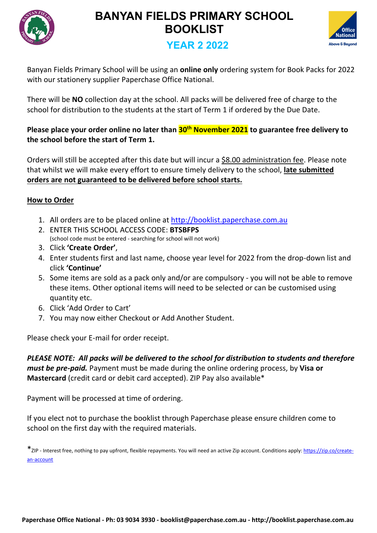



## **YEAR 2 2022**

Banyan Fields Primary School will be using an **online only** ordering system for Book Packs for 2022 with our stationery supplier Paperchase Office National.

There will be **NO** collection day at the school. All packs will be delivered free of charge to the school for distribution to the students at the start of Term 1 if ordered by the Due Date.

### **Please place your order online no later than 30th November 2021 to guarantee free delivery to the school before the start of Term 1.**

Orders will still be accepted after this date but will incur a \$8.00 administration fee. Please note that whilst we will make every effort to ensure timely delivery to the school, **late submitted orders are not guaranteed to be delivered before school starts.**

## **How to Order**

- 1. All orders are to be placed online at <http://booklist.paperchase.com.au>
- 2. ENTER THIS SCHOOL ACCESS CODE: **BTSBFPS** (school code must be entered - searching for school will not work)
- 3. Click **'Create Order'**,
- 4. Enter students first and last name, choose year level for 2022 from the drop-down list and click **'Continue'**
- 5. Some items are sold as a pack only and/or are compulsory you will not be able to remove these items. Other optional items will need to be selected or can be customised using quantity etc.
- 6. Click 'Add Order to Cart'
- 7. You may now either Checkout or Add Another Student.

Please check your E-mail for order receipt.

*PLEASE NOTE: All packs will be delivered to the school for distribution to students and therefore must be pre-paid.* Payment must be made during the online ordering process, by **Visa or Mastercard** (credit card or debit card accepted). ZIP Pay also available\*

Payment will be processed at time of ordering.

If you elect not to purchase the booklist through Paperchase please ensure children come to school on the first day with the required materials.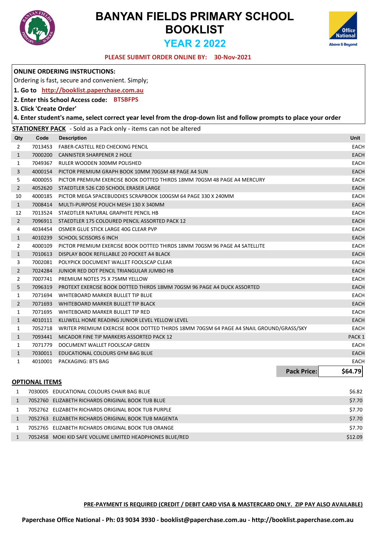



#### **30-Nov-2021 PLEASE SUBMIT ORDER ONLINE BY:**

|                |                         | <b>ONLINE ORDERING INSTRUCTIONS:</b>                                                                              |                    |                   |
|----------------|-------------------------|-------------------------------------------------------------------------------------------------------------------|--------------------|-------------------|
|                |                         | Ordering is fast, secure and convenient. Simply;                                                                  |                    |                   |
|                |                         | 1. Go to http://booklist.paperchase.com.au                                                                        |                    |                   |
|                |                         | 2. Enter this School Access code: BTSBFPS                                                                         |                    |                   |
|                | 3. Click 'Create Order' |                                                                                                                   |                    |                   |
|                |                         | 4. Enter student's name, select correct year level from the drop-down list and follow prompts to place your order |                    |                   |
|                |                         | <b>STATIONERY PACK</b> - Sold as a Pack only - items can not be altered                                           |                    |                   |
| Qty            | Code                    | <b>Description</b>                                                                                                |                    | <b>Unit</b>       |
| 2              | 7013453                 | FABER-CASTELL RED CHECKING PENCIL                                                                                 |                    | <b>EACH</b>       |
| $\mathbf{1}$   | 7000200                 | CANNISTER SHARPENER 2 HOLE                                                                                        |                    | <b>EACH</b>       |
| 1              | 7049367                 | RULER WOODEN 300MM POLISHED                                                                                       |                    | <b>EACH</b>       |
| 3              | 4000154                 | PICTOR PREMIUM GRAPH BOOK 10MM 70GSM 48 PAGE A4 SUN                                                               |                    | <b>EACH</b>       |
| 5              | 4000055                 | PICTOR PREMIUM EXERCISE BOOK DOTTED THIRDS 18MM 70GSM 48 PAGE A4 MERCURY                                          |                    | <b>EACH</b>       |
| $\overline{2}$ |                         | 4052620 STAEDTLER 526 C20 SCHOOL ERASER LARGE                                                                     |                    | EACH              |
| 10             | 4000185                 | PICTOR MEGA SPACEBUDDIES SCRAPBOOK 100GSM 64 PAGE 330 X 240MM                                                     |                    | <b>EACH</b>       |
| $\mathbf{1}$   | 7008414                 | MULTI-PURPOSE POUCH MESH 130 X 340MM                                                                              |                    | <b>EACH</b>       |
| 12             |                         | 7013524 STAEDTLER NATURAL GRAPHITE PENCIL HB                                                                      |                    | <b>EACH</b>       |
| $\overline{2}$ | 7096911                 | STAEDTLER 175 COLOURED PENCIL ASSORTED PACK 12                                                                    |                    | <b>EACH</b>       |
| 4              |                         | 4034454 OSMER GLUE STICK LARGE 40G CLEAR PVP                                                                      |                    | <b>EACH</b>       |
| $\mathbf{1}$   | 4010239                 | SCHOOL SCISSORS 6 INCH                                                                                            |                    | EACH              |
| 2              | 4000109                 | PICTOR PREMIUM EXERCISE BOOK DOTTED THIRDS 18MM 70GSM 96 PAGE A4 SATELLITE                                        |                    | <b>EACH</b>       |
| $\mathbf{1}$   | 7010613                 | DISPLAY BOOK REFILLABLE 20 POCKET A4 BLACK                                                                        |                    | <b>EACH</b>       |
| 3              | 7002081                 | POLYPICK DOCUMENT WALLET FOOLSCAP CLEAR                                                                           |                    | <b>EACH</b>       |
| $\overline{2}$ | 7024284                 | JUNIOR RED DOT PENCIL TRIANGULAR JUMBO HB                                                                         |                    | <b>EACH</b>       |
| $\overline{2}$ | 7007741                 | PREMIUM NOTES 75 X 75MM YELLOW                                                                                    |                    | <b>EACH</b>       |
| 5              | 7096319                 | PROTEXT EXERCISE BOOK DOTTED THIRDS 18MM 70GSM 96 PAGE A4 DUCK ASSORTED                                           |                    | EACH              |
| 1              | 7071694                 | WHITEBOARD MARKER BULLET TIP BLUE                                                                                 |                    | <b>EACH</b>       |
| $\overline{2}$ | 7071693                 | WHITEBOARD MARKER BULLET TIP BLACK                                                                                |                    | <b>EACH</b>       |
| 1              | 7071695                 | WHITEBOARD MARKER BULLET TIP RED                                                                                  |                    | <b>EACH</b>       |
| $\mathbf{1}$   | 4010111                 | KLUWELL HOME READING JUNIOR LEVEL YELLOW LEVEL                                                                    |                    | <b>EACH</b>       |
| 1              | 7052718                 | WRITER PREMIUM EXERCISE BOOK DOTTED THIRDS 18MM 70GSM 64 PAGE A4 SNAIL GROUND/GRASS/SKY                           |                    | <b>EACH</b>       |
| $\mathbf{1}$   | 7093441                 | MICADOR FINE TIP MARKERS ASSORTED PACK 12                                                                         |                    | PACK <sub>1</sub> |
| 1              |                         | 7071779 DOCUMENT WALLET FOOLSCAP GREEN                                                                            |                    | <b>EACH</b>       |
| $\mathbf{1}$   | 7030011                 | EDUCATIONAL COLOURS GYM BAG BLUE                                                                                  |                    | <b>EACH</b>       |
| 1              | 4010001                 | PACKAGING: BTS BAG                                                                                                |                    | <b>EACH</b>       |
|                |                         |                                                                                                                   | <b>Pack Price:</b> | \$64.79           |
|                | <b>OPTIONAL ITEMS</b>   |                                                                                                                   |                    |                   |
| 1              |                         | 7030005 EDUCATIONAL COLOURS CHAIR BAG BLUE                                                                        |                    | \$6.82            |
| $\mathbf{1}$   |                         | 7052760 ELIZABETH RICHARDS ORIGINAL BOOK TUB BLUE                                                                 |                    | \$7.70            |
| 1              |                         | 7052762 ELIZABETH RICHARDS ORIGINAL BOOK TUB PURPLE                                                               |                    | \$7.70            |

|  | 7052763 ELIZABETH RICHARDS ORIGINAL BOOK TUB MAGENTA     | \$7.70  |
|--|----------------------------------------------------------|---------|
|  | 7052765 ELIZABETH RICHARDS ORIGINAL BOOK TUB ORANGE      | \$7.70  |
|  | 7052458 MOKI KID SAFE VOLUME LIMITED HEADPHONES BLUE/RED | \$12.09 |

**PRE-PAYMENT IS REQUIRED (CREDIT / DEBIT CARD VISA & MASTERCARD ONLY. ZIP PAY ALSO AVAILABLE)**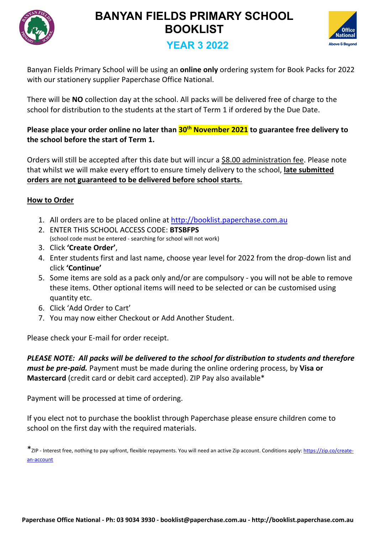



## **YEAR 3 2022**

Banyan Fields Primary School will be using an **online only** ordering system for Book Packs for 2022 with our stationery supplier Paperchase Office National.

There will be **NO** collection day at the school. All packs will be delivered free of charge to the school for distribution to the students at the start of Term 1 if ordered by the Due Date.

## **Please place your order online no later than 30th November 2021 to guarantee free delivery to the school before the start of Term 1.**

Orders will still be accepted after this date but will incur a \$8.00 administration fee. Please note that whilst we will make every effort to ensure timely delivery to the school, **late submitted orders are not guaranteed to be delivered before school starts.**

## **How to Order**

- 1. All orders are to be placed online at <http://booklist.paperchase.com.au>
- 2. ENTER THIS SCHOOL ACCESS CODE: **BTSBFPS** (school code must be entered - searching for school will not work)
- 3. Click **'Create Order'**,
- 4. Enter students first and last name, choose year level for 2022 from the drop-down list and click **'Continue'**
- 5. Some items are sold as a pack only and/or are compulsory you will not be able to remove these items. Other optional items will need to be selected or can be customised using quantity etc.
- 6. Click 'Add Order to Cart'
- 7. You may now either Checkout or Add Another Student.

Please check your E-mail for order receipt.

*PLEASE NOTE: All packs will be delivered to the school for distribution to students and therefore must be pre-paid.* Payment must be made during the online ordering process, by **Visa or Mastercard** (credit card or debit card accepted). ZIP Pay also available\*

Payment will be processed at time of ordering.

If you elect not to purchase the booklist through Paperchase please ensure children come to school on the first day with the required materials.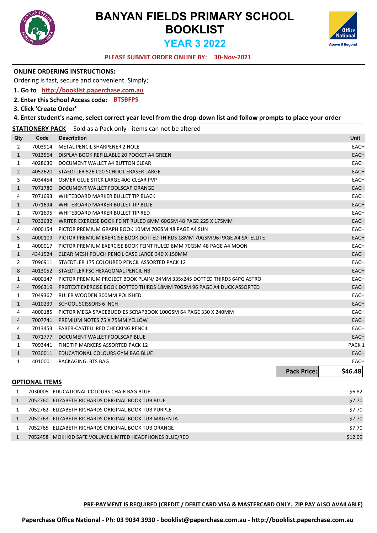

I

# **BANYAN FIELDS PRIMARY SCHOOL BOOKLIST YEAR 3 2022**



#### **30-Nov-2021 PLEASE SUBMIT ORDER ONLINE BY:**

|                |                         | <b>ONLINE ORDERING INSTRUCTIONS:</b>                                                                              |                    |                   |
|----------------|-------------------------|-------------------------------------------------------------------------------------------------------------------|--------------------|-------------------|
|                |                         | Ordering is fast, secure and convenient. Simply;                                                                  |                    |                   |
|                |                         | 1. Go to http://booklist.paperchase.com.au                                                                        |                    |                   |
|                |                         | 2. Enter this School Access code: BTSBFPS                                                                         |                    |                   |
|                | 3. Click 'Create Order' |                                                                                                                   |                    |                   |
|                |                         | 4. Enter student's name, select correct year level from the drop-down list and follow prompts to place your order |                    |                   |
|                |                         | <b>STATIONERY PACK</b> - Sold as a Pack only - items can not be altered                                           |                    |                   |
| Qty            | Code                    | <b>Description</b>                                                                                                |                    | <b>Unit</b>       |
| $\overline{2}$ | 7003914                 | METAL PENCIL SHARPENER 2 HOLE                                                                                     |                    | <b>EACH</b>       |
| $\mathbf{1}$   | 7013564                 | DISPLAY BOOK REFILLABLE 20 POCKET A4 GREEN                                                                        |                    | <b>EACH</b>       |
| $\mathbf{1}$   | 4028630                 | DOCUMENT WALLET A4 BUTTON CLEAR                                                                                   |                    | <b>EACH</b>       |
| $\overline{2}$ | 4052620                 | STAEDTLER 526 C20 SCHOOL ERASER LARGE                                                                             |                    | <b>EACH</b>       |
| 3              |                         | 4034454 OSMER GLUE STICK LARGE 40G CLEAR PVP                                                                      |                    | <b>EACH</b>       |
| $\mathbf{1}$   | 7071780                 | DOCUMENT WALLET FOOLSCAP ORANGE                                                                                   |                    | <b>EACH</b>       |
| 4              | 7071693                 | WHITEBOARD MARKER BULLET TIP BLACK                                                                                |                    | <b>EACH</b>       |
| $\mathbf{1}$   | 7071694                 | WHITEBOARD MARKER BULLET TIP BLUE                                                                                 |                    | <b>EACH</b>       |
| $\mathbf{1}$   | 7071695                 | WHITEBOARD MARKER BULLET TIP RED                                                                                  |                    | <b>EACH</b>       |
| $\mathbf{1}$   | 7032632                 | WRITER EXERCISE BOOK FEINT RULED 8MM 60GSM 48 PAGE 225 X 175MM                                                    |                    | <b>EACH</b>       |
| 4              | 4000154                 | PICTOR PREMIUM GRAPH BOOK 10MM 70GSM 48 PAGE A4 SUN                                                               |                    | <b>EACH</b>       |
| 5              | 4000109                 | PICTOR PREMIUM EXERCISE BOOK DOTTED THIRDS 18MM 70GSM 96 PAGE A4 SATELLITE                                        |                    | <b>EACH</b>       |
| $\mathbf{1}$   | 4000017                 | PICTOR PREMIUM EXERCISE BOOK FEINT RULED 8MM 70GSM 48 PAGE A4 MOON                                                |                    | <b>EACH</b>       |
| $\mathbf{1}$   | 4341524                 | CLEAR MESH POUCH PENCIL CASE LARGE 340 X 150MM                                                                    |                    | <b>EACH</b>       |
| $\overline{2}$ |                         | 7096911 STAEDTLER 175 COLOURED PENCIL ASSORTED PACK 12                                                            |                    | <b>EACH</b>       |
| 8              |                         | 4013052 STAEDTLER FSC HEXAGONAL PENCIL HB                                                                         |                    | <b>EACH</b>       |
| $\mathbf{1}$   | 4000147                 | PICTOR PREMIUM PROJECT BOOK PLAIN/24MM 335x245 DOTTED THIRDS 64PG ASTRO                                           |                    | <b>EACH</b>       |
| $\overline{4}$ | 7096319                 | PROTEXT EXERCISE BOOK DOTTED THIRDS 18MM 70GSM 96 PAGE A4 DUCK ASSORTED                                           |                    | <b>EACH</b>       |
| $\mathbf{1}$   | 7049367                 | RULER WOODEN 300MM POLISHED                                                                                       |                    | <b>EACH</b>       |
| $\mathbf{1}$   | 4010239                 | SCHOOL SCISSORS 6 INCH                                                                                            |                    | <b>EACH</b>       |
| 4              | 4000185                 | PICTOR MEGA SPACEBUDDIES SCRAPBOOK 100GSM 64 PAGE 330 X 240MM                                                     |                    | <b>EACH</b>       |
| 4              | 7007741                 | PREMIUM NOTES 75 X 75MM YELLOW                                                                                    |                    | <b>EACH</b>       |
| 4              | 7013453                 | FABER-CASTELL RED CHECKING PENCIL                                                                                 |                    | <b>EACH</b>       |
| $\mathbf{1}$   | 7071777                 | DOCUMENT WALLET FOOLSCAP BLUE                                                                                     |                    | <b>EACH</b>       |
| 1              | 7093441                 | FINE TIP MARKERS ASSORTED PACK 12                                                                                 |                    | PACK <sub>1</sub> |
| $\mathbf{1}$   | 7030011                 | EDUCATIONAL COLOURS GYM BAG BLUE                                                                                  |                    | <b>EACH</b>       |
| $\mathbf{1}$   |                         | 4010001 PACKAGING: BTS BAG                                                                                        |                    | <b>EACH</b>       |
|                |                         |                                                                                                                   | <b>Pack Price:</b> | \$46.48           |
|                | <b>OPTIONAL ITEMS</b>   |                                                                                                                   |                    |                   |
| $\mathbf{1}$   |                         | 7030005 EDUCATIONAL COLOURS CHAIR BAG BLUE                                                                        |                    | \$6.82            |

| 7052760 ELIZABETH RICHARDS ORIGINAL BOOK TUB BLUE<br>7052762 ELIZABETH RICHARDS ORIGINAL BOOK TUB PURPLE<br>7052763 ELIZABETH RICHARDS ORIGINAL BOOK TUB MAGENTA<br>7052765 ELIZABETH RICHARDS ORIGINAL BOOK TUB ORANGE |  | ン)・コニ   |
|-------------------------------------------------------------------------------------------------------------------------------------------------------------------------------------------------------------------------|--|---------|
|                                                                                                                                                                                                                         |  | \$7.70  |
|                                                                                                                                                                                                                         |  | \$7.70  |
|                                                                                                                                                                                                                         |  | \$7.70  |
|                                                                                                                                                                                                                         |  | \$7.70  |
| 7052458 MOKI KID SAFE VOLUME LIMITED HEADPHONES BLUE/RED                                                                                                                                                                |  | \$12.09 |

**PRE-PAYMENT IS REQUIRED (CREDIT / DEBIT CARD VISA & MASTERCARD ONLY. ZIP PAY ALSO AVAILABLE)**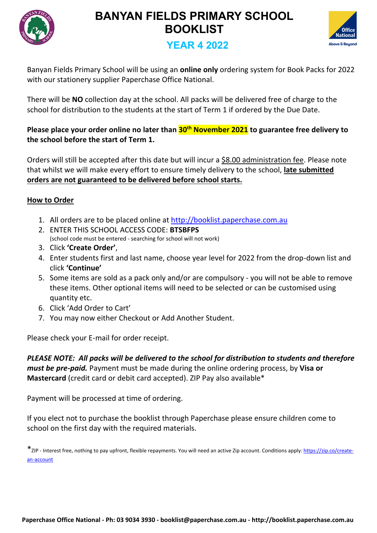



## **YEAR 4 2022**

Banyan Fields Primary School will be using an **online only** ordering system for Book Packs for 2022 with our stationery supplier Paperchase Office National.

There will be **NO** collection day at the school. All packs will be delivered free of charge to the school for distribution to the students at the start of Term 1 if ordered by the Due Date.

### **Please place your order online no later than 30th November 2021 to guarantee free delivery to the school before the start of Term 1.**

Orders will still be accepted after this date but will incur a \$8.00 administration fee. Please note that whilst we will make every effort to ensure timely delivery to the school, **late submitted orders are not guaranteed to be delivered before school starts.**

### **How to Order**

- 1. All orders are to be placed online at <http://booklist.paperchase.com.au>
- 2. ENTER THIS SCHOOL ACCESS CODE: **BTSBFPS** (school code must be entered - searching for school will not work)
- 3. Click **'Create Order'**,
- 4. Enter students first and last name, choose year level for 2022 from the drop-down list and click **'Continue'**
- 5. Some items are sold as a pack only and/or are compulsory you will not be able to remove these items. Other optional items will need to be selected or can be customised using quantity etc.
- 6. Click 'Add Order to Cart'
- 7. You may now either Checkout or Add Another Student.

Please check your E-mail for order receipt.

*PLEASE NOTE: All packs will be delivered to the school for distribution to students and therefore must be pre-paid.* Payment must be made during the online ordering process, by **Visa or Mastercard** (credit card or debit card accepted). ZIP Pay also available\*

Payment will be processed at time of ordering.

If you elect not to purchase the booklist through Paperchase please ensure children come to school on the first day with the required materials.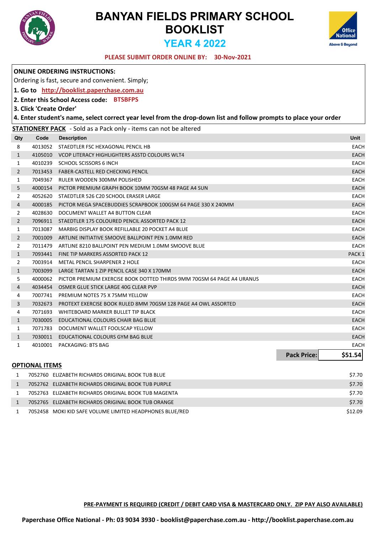



#### **30-Nov-2021 PLEASE SUBMIT ORDER ONLINE BY:**

|                |                         | <b>ONLINE ORDERING INSTRUCTIONS:</b>                                                                              |                               |
|----------------|-------------------------|-------------------------------------------------------------------------------------------------------------------|-------------------------------|
|                |                         | Ordering is fast, secure and convenient. Simply;                                                                  |                               |
|                |                         | 1. Go to http://booklist.paperchase.com.au                                                                        |                               |
|                |                         | 2. Enter this School Access code: BTSBFPS                                                                         |                               |
|                | 3. Click 'Create Order' |                                                                                                                   |                               |
|                |                         | 4. Enter student's name, select correct year level from the drop-down list and follow prompts to place your order |                               |
|                |                         | <b>STATIONERY PACK</b> - Sold as a Pack only - items can not be altered                                           |                               |
| Qty            | Code                    | <b>Description</b>                                                                                                | Unit                          |
| 8              |                         | 4013052 STAEDTLER FSC HEXAGONAL PENCIL HB                                                                         | EACH                          |
| $\mathbf{1}$   |                         | 4105010 VCOP LITERACY HIGHLIGHTERS ASSTD COLOURS WLT4                                                             | <b>EACH</b>                   |
| $\mathbf{1}$   |                         | 4010239 SCHOOL SCISSORS 6 INCH                                                                                    | <b>EACH</b>                   |
| $\overline{2}$ |                         | 7013453 FABER-CASTELL RED CHECKING PENCIL                                                                         | <b>EACH</b>                   |
| $\mathbf{1}$   | 7049367                 | RULER WOODEN 300MM POLISHED                                                                                       | <b>EACH</b>                   |
| 5              | 4000154                 | PICTOR PREMIUM GRAPH BOOK 10MM 70GSM 48 PAGE A4 SUN                                                               | <b>EACH</b>                   |
| 2              |                         | 4052620 STAEDTLER 526 C20 SCHOOL ERASER LARGE                                                                     | EACH                          |
| 4              | 4000185                 | PICTOR MEGA SPACEBUDDIES SCRAPBOOK 100GSM 64 PAGE 330 X 240MM                                                     | <b>EACH</b>                   |
| $\overline{2}$ | 4028630                 | DOCUMENT WALLET A4 BUTTON CLEAR                                                                                   | <b>EACH</b>                   |
| $\overline{2}$ | 7096911                 | STAEDTLER 175 COLOURED PENCIL ASSORTED PACK 12                                                                    | <b>EACH</b>                   |
| 1              | 7013087                 | MARBIG DISPLAY BOOK REFILLABLE 20 POCKET A4 BLUE                                                                  | <b>EACH</b>                   |
| $\overline{2}$ | 7001009                 | ARTLINE INITIATIVE SMOOVE BALLPOINT PEN 1.0MM RED                                                                 | <b>EACH</b>                   |
| 2              | 7011479                 | ARTLINE 8210 BALLPOINT PEN MEDIUM 1.0MM SMOOVE BLUE                                                               | <b>EACH</b>                   |
| $\mathbf{1}$   | 7093441                 | FINE TIP MARKERS ASSORTED PACK 12                                                                                 | PACK <sub>1</sub>             |
| $\overline{2}$ | 7003914                 | METAL PENCIL SHARPENER 2 HOLE                                                                                     | <b>EACH</b>                   |
| $\mathbf{1}$   | 7003099                 | LARGE TARTAN 1 ZIP PENCIL CASE 340 X 170MM                                                                        | <b>EACH</b>                   |
| 5              | 4000062                 | PICTOR PREMIUM EXERCISE BOOK DOTTED THIRDS 9MM 70GSM 64 PAGE A4 URANUS                                            | <b>EACH</b>                   |
| 4              |                         | 4034454 OSMER GLUE STICK LARGE 40G CLEAR PVP                                                                      | EACH                          |
| 4              | 7007741                 | <b>PREMIUM NOTES 75 X 75MM YELLOW</b>                                                                             | <b>EACH</b>                   |
| 3              | 7032673                 | PROTEXT EXERCISE BOOK RULED 8MM 70GSM 128 PAGE A4 OWL ASSORTED                                                    | <b>EACH</b>                   |
| 4              | 7071693                 | WHITEBOARD MARKER BULLET TIP BLACK                                                                                | <b>EACH</b>                   |
| $\mathbf{1}$   | 7030005                 | EDUCATIONAL COLOURS CHAIR BAG BLUE                                                                                | <b>EACH</b>                   |
| 1              | 7071783                 | DOCUMENT WALLET FOOLSCAP YELLOW                                                                                   | <b>EACH</b>                   |
| $\mathbf{1}$   | 7030011                 | EDUCATIONAL COLOURS GYM BAG BLUE                                                                                  | EACH                          |
| 1              | 4010001                 | PACKAGING: BTS BAG                                                                                                | <b>EACH</b>                   |
|                |                         |                                                                                                                   | <b>Pack Price:</b><br>\$51.54 |
|                | <b>OPTIONAL ITEMS</b>   |                                                                                                                   |                               |
| 1              |                         | 7052760 ELIZABETH RICHARDS ORIGINAL BOOK TUB BLUE                                                                 | \$7.70                        |
| $\mathbf{1}$   |                         | 7052762 ELIZABETH RICHARDS ORIGINAL BOOK TUB PURPLE                                                               | \$7.70                        |
| 1              |                         | 7052763 ELIZABETH RICHARDS ORIGINAL BOOK TUB MAGENTA                                                              | \$7.70                        |
| $\mathbf{1}$   |                         | 7052765 ELIZABETH RICHARDS ORIGINAL BOOK TUB ORANGE                                                               | \$7.70                        |

1 7052458 MOKI KID SAFE VOLUME LIMITED HEADPHONES BLUE/RED **12.09** \$12.09

**PRE-PAYMENT IS REQUIRED (CREDIT / DEBIT CARD VISA & MASTERCARD ONLY. ZIP PAY ALSO AVAILABLE)**

**Paperchase Office National - Ph: 03 9034 3930 - booklist@paperchase.com.au - http://booklist.paperchase.com.au**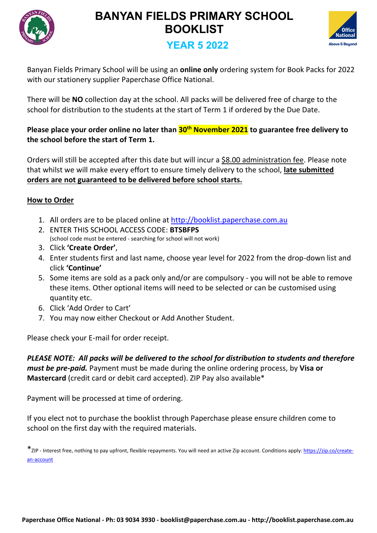



## **YEAR 5 2022**

Banyan Fields Primary School will be using an **online only** ordering system for Book Packs for 2022 with our stationery supplier Paperchase Office National.

There will be **NO** collection day at the school. All packs will be delivered free of charge to the school for distribution to the students at the start of Term 1 if ordered by the Due Date.

### **Please place your order online no later than 30th November 2021 to guarantee free delivery to the school before the start of Term 1.**

Orders will still be accepted after this date but will incur a \$8.00 administration fee. Please note that whilst we will make every effort to ensure timely delivery to the school, **late submitted orders are not guaranteed to be delivered before school starts.**

### **How to Order**

- 1. All orders are to be placed online at <http://booklist.paperchase.com.au>
- 2. ENTER THIS SCHOOL ACCESS CODE: **BTSBFPS** (school code must be entered - searching for school will not work)
- 3. Click **'Create Order'**,
- 4. Enter students first and last name, choose year level for 2022 from the drop-down list and click **'Continue'**
- 5. Some items are sold as a pack only and/or are compulsory you will not be able to remove these items. Other optional items will need to be selected or can be customised using quantity etc.
- 6. Click 'Add Order to Cart'
- 7. You may now either Checkout or Add Another Student.

Please check your E-mail for order receipt.

*PLEASE NOTE: All packs will be delivered to the school for distribution to students and therefore must be pre-paid.* Payment must be made during the online ordering process, by **Visa or Mastercard** (credit card or debit card accepted). ZIP Pay also available\*

Payment will be processed at time of ordering.

If you elect not to purchase the booklist through Paperchase please ensure children come to school on the first day with the required materials.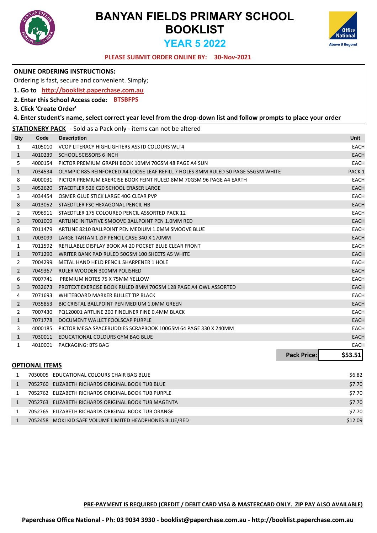



#### **30-Nov-2021 PLEASE SUBMIT ORDER ONLINE BY:**

|                |                         | <b>ONLINE ORDERING INSTRUCTIONS:</b>                                                                              |                   |
|----------------|-------------------------|-------------------------------------------------------------------------------------------------------------------|-------------------|
|                |                         | Ordering is fast, secure and convenient. Simply;                                                                  |                   |
|                |                         | 1. Go to http://booklist.paperchase.com.au                                                                        |                   |
|                |                         | 2. Enter this School Access code: BTSBFPS                                                                         |                   |
|                | 3. Click 'Create Order' |                                                                                                                   |                   |
|                |                         | 4. Enter student's name, select correct year level from the drop-down list and follow prompts to place your order |                   |
|                |                         | <b>STATIONERY PACK</b> - Sold as a Pack only - items can not be altered                                           |                   |
| Qty            | Code                    | <b>Description</b>                                                                                                | Unit              |
| 1              | 4105010                 | VCOP LITERACY HIGHLIGHTERS ASSTD COLOURS WLT4                                                                     | <b>EACH</b>       |
| $\mathbf{1}$   | 4010239                 | SCHOOL SCISSORS 6 INCH                                                                                            | <b>EACH</b>       |
| 5              |                         | 4000154 PICTOR PREMIUM GRAPH BOOK 10MM 70GSM 48 PAGE A4 SUN                                                       | <b>EACH</b>       |
| $\mathbf{1}$   | 7034534                 | OLYMPIC R85 REINFORCED A4 LOOSE LEAF REFILL 7 HOLES 8MM RULED 50 PAGE 55GSM WHITE                                 | PACK <sub>1</sub> |
| 8              |                         | 4000031 PICTOR PREMIUM EXERCISE BOOK FEINT RULED 8MM 70GSM 96 PAGE A4 EARTH                                       | <b>EACH</b>       |
| 3              | 4052620                 | STAEDTLER 526 C20 SCHOOL ERASER LARGE                                                                             | <b>EACH</b>       |
| 3              | 4034454                 | OSMER GLUE STICK LARGE 40G CLEAR PVP                                                                              | <b>EACH</b>       |
| 8              |                         | 4013052 STAEDTLER FSC HEXAGONAL PENCIL HB                                                                         | <b>EACH</b>       |
| 2              |                         | 7096911 STAEDTLER 175 COLOURED PENCIL ASSORTED PACK 12                                                            | <b>EACH</b>       |
| 3              | 7001009                 | ARTLINE INITIATIVE SMOOVE BALLPOINT PEN 1.0MM RED                                                                 | <b>EACH</b>       |
| 8              | 7011479                 | ARTLINE 8210 BALLPOINT PEN MEDIUM 1.0MM SMOOVE BLUE                                                               | <b>EACH</b>       |
| $\mathbf{1}$   | 7003099                 | LARGE TARTAN 1 ZIP PENCIL CASE 340 X 170MM                                                                        | <b>EACH</b>       |
| 1              | 7011592                 | REFILLABLE DISPLAY BOOK A4 20 POCKET BLUE CLEAR FRONT                                                             | <b>EACH</b>       |
| $\mathbf{1}$   | 7071290                 | WRITER BANK PAD RULED 50GSM 100 SHEETS A5 WHITE                                                                   | <b>EACH</b>       |
| 2              | 7004299                 | METAL HAND HELD PENCIL SHARPENER 1 HOLE                                                                           | <b>EACH</b>       |
| $\overline{2}$ | 7049367                 | RULER WOODEN 300MM POLISHED                                                                                       | <b>EACH</b>       |
| 6              | 7007741                 | PREMIUM NOTES 75 X 75MM YELLOW                                                                                    | <b>EACH</b>       |
| 3              | 7032673                 | PROTEXT EXERCISE BOOK RULED 8MM 70GSM 128 PAGE A4 OWL ASSORTED                                                    | <b>EACH</b>       |
| 4              | 7071693                 | WHITEBOARD MARKER BULLET TIP BLACK                                                                                | <b>EACH</b>       |
| $\overline{2}$ | 7035853                 | BIC CRISTAL BALLPOINT PEN MEDIUM 1.0MM GREEN                                                                      | EACH              |
| 2              | 7007430                 | PQ120001 ARTLINE 200 FINELINER FINE 0.4MM BLACK                                                                   | <b>EACH</b>       |
| $\mathbf{1}$   | 7071778                 | DOCUMENT WALLET FOOLSCAP PURPLE                                                                                   | <b>EACH</b>       |
| 3              | 4000185                 | PICTOR MEGA SPACEBUDDIES SCRAPBOOK 100GSM 64 PAGE 330 X 240MM                                                     | <b>EACH</b>       |
| $\mathbf{1}$   | 7030011                 | EDUCATIONAL COLOURS GYM BAG BLUE                                                                                  | <b>EACH</b>       |
| 1              |                         | 4010001 PACKAGING: BTS BAG                                                                                        | <b>EACH</b>       |
|                |                         | <b>Pack Price:</b>                                                                                                | \$53.51           |
|                | <b>OPTIONAL ITEMS</b>   |                                                                                                                   |                   |
| 1              |                         | 7030005 EDUCATIONAL COLOURS CHAIR BAG BLUE                                                                        | \$6.82            |
| $\mathbf{1}$   |                         | 7052760 ELIZABETH RICHARDS ORIGINAL BOOK TUB BLUE                                                                 | \$7.70            |
| 1              |                         | 7052762 ELIZABETH RICHARDS ORIGINAL BOOK TUB PURPLE                                                               | \$7.70            |
| 1              |                         | 7052763 ELIZABETH RICHARDS ORIGINAL BOOK TUB MAGENTA                                                              | \$7.70            |

 7052765 ELIZABETH RICHARDS ORIGINAL BOOK TUB ORANGE \$7.70 1 7052458 MOKI KID SAFE VOLUME LIMITED HEADPHONES BLUE/RED \$12.09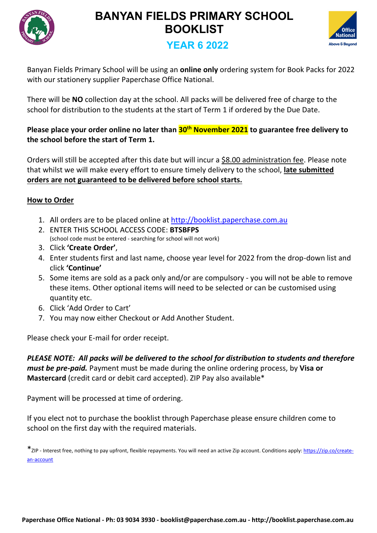



## **YEAR 6 2022**

Banyan Fields Primary School will be using an **online only** ordering system for Book Packs for 2022 with our stationery supplier Paperchase Office National.

There will be **NO** collection day at the school. All packs will be delivered free of charge to the school for distribution to the students at the start of Term 1 if ordered by the Due Date.

### **Please place your order online no later than 30th November 2021 to guarantee free delivery to the school before the start of Term 1.**

Orders will still be accepted after this date but will incur a \$8.00 administration fee. Please note that whilst we will make every effort to ensure timely delivery to the school, **late submitted orders are not guaranteed to be delivered before school starts.**

### **How to Order**

- 1. All orders are to be placed online at <http://booklist.paperchase.com.au>
- 2. ENTER THIS SCHOOL ACCESS CODE: **BTSBFPS** (school code must be entered - searching for school will not work)
- 3. Click **'Create Order'**,
- 4. Enter students first and last name, choose year level for 2022 from the drop-down list and click **'Continue'**
- 5. Some items are sold as a pack only and/or are compulsory you will not be able to remove these items. Other optional items will need to be selected or can be customised using quantity etc.
- 6. Click 'Add Order to Cart'
- 7. You may now either Checkout or Add Another Student.

Please check your E-mail for order receipt.

*PLEASE NOTE: All packs will be delivered to the school for distribution to students and therefore must be pre-paid.* Payment must be made during the online ordering process, by **Visa or Mastercard** (credit card or debit card accepted). ZIP Pay also available\*

Payment will be processed at time of ordering.

If you elect not to purchase the booklist through Paperchase please ensure children come to school on the first day with the required materials.